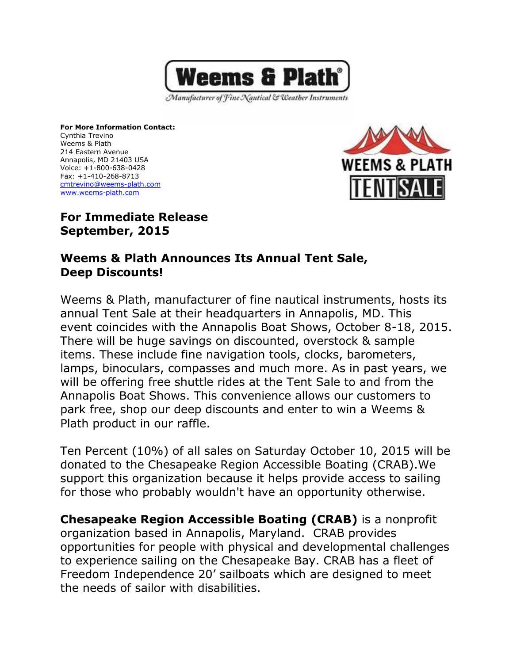

Manufacturer of Fine Nautical & Weather Instruments

**For More Information Contact:** Cynthia Trevino Weems & Plath 214 Eastern Avenue Annapolis, MD 21403 USA Voice: +1-800-638-0428 Fax: +1-410-268-8713 [cmtrevino@weems-plath.com](http://mailto:cmtrevino@weems-plath.com/) [www.weems-plath.com](http://www.weems-plath.com/)



## **For Immediate Release September, 2015**

## **Weems & Plath Announces Its Annual Tent Sale, Deep Discounts!**

Weems & Plath, manufacturer of fine nautical instruments, hosts its annual Tent Sale at their headquarters in Annapolis, MD. This event coincides with the Annapolis Boat Shows, October 8-18, 2015. There will be huge savings on discounted, overstock & sample items. These include fine navigation tools, clocks, barometers, lamps, binoculars, compasses and much more. As in past years, we will be offering free shuttle rides at the Tent Sale to and from the Annapolis Boat Shows. This convenience allows our customers to park free, shop our deep discounts and enter to win a Weems & Plath product in our raffle.

Ten Percent (10%) of all sales on Saturday October 10, 2015 will be donated to the Chesapeake Region Accessible Boating (CRAB).We support this organization because it helps provide access to sailing for those who probably wouldn't have an opportunity otherwise.

**Chesapeake Region Accessible Boating (CRAB)** is a nonprofit organization based in Annapolis, Maryland. CRAB provides opportunities for people with physical and developmental challenges to experience sailing on the Chesapeake Bay. CRAB has a fleet of Freedom Independence 20' sailboats which are designed to meet the needs of sailor with disabilities.